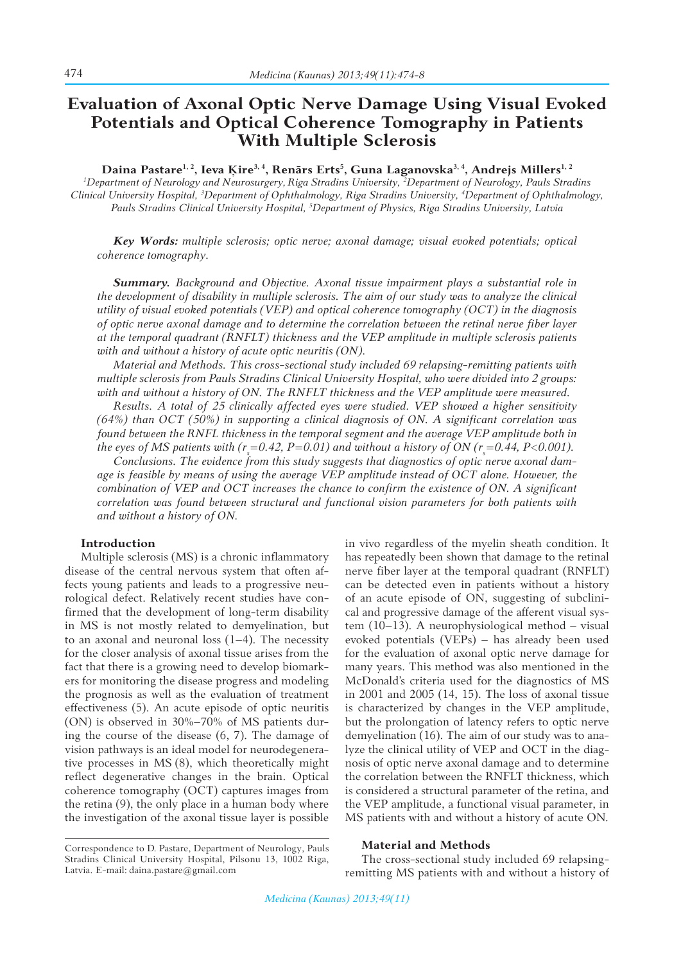# **Evaluation of Axonal Optic Nerve Damage Using Visual Evoked Potentials and Optical Coherence Tomography in Patients With Multiple Sclerosis**

 $\bf{D}$ aina Pastare<sup>1, 2</sup>, Ieva Ķire<sup>3, 4</sup>, Renārs Erts<sup>5</sup>, Guna Laganovska<sup>3, 4</sup>, Andrejs Millers<sup>1, 2</sup>

<sup>1</sup>Department of Neurology and Neurosurgery, Riga Stradins University, <sup>2</sup>Department of Neurology, Pauls Stradins Clinical University Hospital, <sup>3</sup>Department of Ophthalmology, Riga Stradins University, <sup>4</sup>Department of Ophthalmology, Pauls Stradins Clinical University Hospital, <sup>5</sup>Department of Physics, Riga Stradins University, Latvia

Key Words: multiple sclerosis; optic nerve; axonal damage; visual evoked potentials; optical  $coherence$  tomography.

**Summary.** Background and Objective. Axonal tissue impairment plays a substantial role in the development of disability in multiple sclerosis. The aim of our study was to analyze the clinical *Liility of visual evoked potentials (VEP) and optical coherence tomography (OCT) in the diagnosis of optic nerve axonal damage and to determine the correlation between the retinal nerve fiber layer* at the temporal quadrant (RNFLT) thickness and the VEP amplitude in multiple sclerosis patients *with and without a history of acute optic neuritis (ON).* 

*Material and Methods. This cross-sectional study included 69 relapsing-remitting patients with* multiple sclerosis from Pauls Stradins Clinical University Hospital, who were divided into 2 groups: with and without a history of ON. The RNFLT thickness and the VEP amplitude were measured.

*Results. A total of 25 clinically affected eyes were studied. VEP showed a higher sensitivity (64%)* than OCT (50%) in supporting a clinical diagnosis of ON. A significant correlation was found between the RNFL thickness in the temporal segment and the average VEP amplitude both in *bhe eyes of MS patients with (r<sub>s</sub>=0.42, P=0.01) and without a history of ON (r<sub>s</sub>=0.44, P<0.001).* 

Conclusions. The evidence from this study suggests that diagnostics of optic nerve axonal damage is feasible by means of using the average VEP amplitude instead of OCT alone. However, the combination of VEP and OCT increases the chance to confirm the existence of ON. A significant correlation was found between structural and functional vision parameters for both patients with *and without a history of ON.* 

# **Introduction**

Multiple sclerosis (MS) is a chronic inflammatory disease of the central nervous system that often affects young patients and leads to a progressive neurological defect. Relatively recent studies have confirmed that the development of long-term disability in MS is not mostly related to demyelination, but to an axonal and neuronal loss  $(1-4)$ . The necessity for the closer analysis of axonal tissue arises from the fact that there is a growing need to develop biomarkers for monitoring the disease progress and modeling the prognosis as well as the evaluation of treatment effectiveness (5). An acute episode of optic neuritis (ON) is observed in 30%–70% of MS patients during the course of the disease (6, 7). The damage of vision pathways is an ideal model for neurodegenerative processes in MS (8), which theoretically might reflect degenerative changes in the brain. Optical coherence tomography (OCT) captures images from the retina (9), the only place in a human body where the investigation of the axonal tissue layer is possible

in vivo regardless of the myelin sheath condition. It has repeatedly been shown that damage to the retinal nerve fiber layer at the temporal quadrant (RNFLT) can be detected even in patients without a history of an acute episode of ON, suggesting of subclinical and progressive damage of the afferent visual system (10–13). A neurophysiological method – visual evoked potentials (VEPs) – has already been used for the evaluation of axonal optic nerve damage for many years. This method was also mentioned in the McDonald's criteria used for the diagnostics of MS in 2001 and 2005 (14, 15). The loss of axonal tissue is characterized by changes in the VEP amplitude, but the prolongation of latency refers to optic nerve demyelination (16). The aim of our study was to analyze the clinical utility of VEP and OCT in the diagnosis of optic nerve axonal damage and to determine the correlation between the RNFLT thickness, which is considered a structural parameter of the retina, and the VEP amplitude, a functional visual parameter, in MS patients with and without a history of acute ON.

# **Material and Methods**

The cross-sectional study included 69 relapsingremitting MS patients with and without a history of

Correspondence to D. Pastare, Department of Neurology, Pauls Stradins Clinical University Hospital, Pilsonu 13, 1002 Riga, Latvia. E-mail: daina.pastare@gmail.com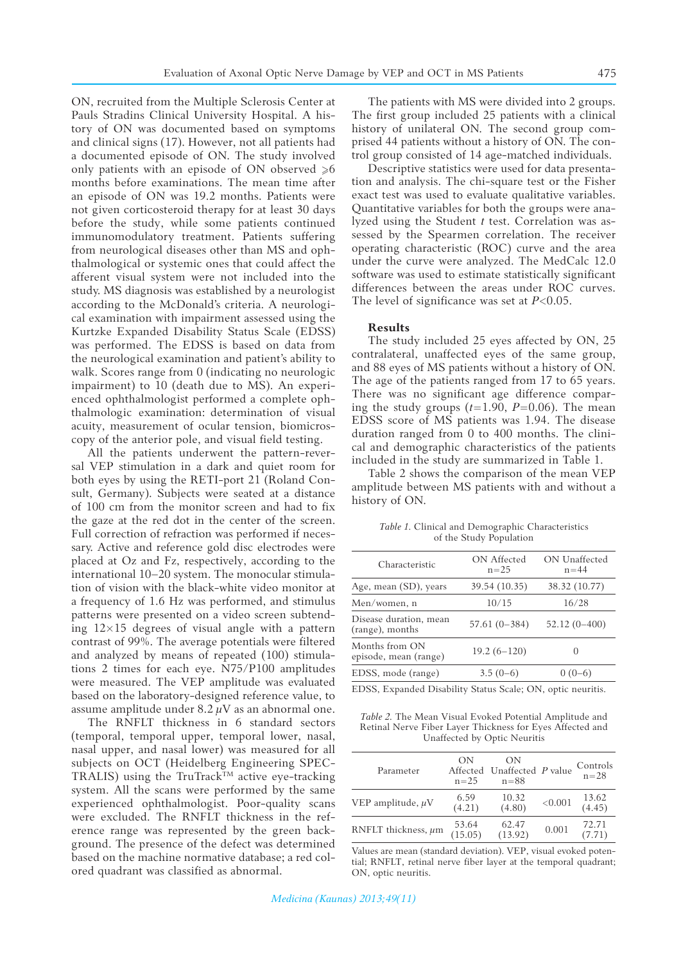ON, recruited from the Multiple Sclerosis Center at Pauls Stradins Clinical University Hospital. A history of ON was documented based on symptoms and clinical signs (17). However, not all patients had a documented episode of ON. The study involved only patients with an episode of ON observed  $\ge 6$ months before examinations. The mean time after an episode of ON was 19.2 months. Patients were not given corticosteroid therapy for at least 30 days before the study, while some patients continued immunomodulatory treatment. Patients suffering from neurological diseases other than MS and ophthalmological or systemic ones that could affect the afferent visual system were not included into the study. MS diagnosis was established by a neurologist according to the McDonald's criteria. A neurological examination with impairment assessed using the Kurtzke Expanded Disability Status Scale (EDSS) was performed. The EDSS is based on data from the neurological examination and patient's ability to walk. Scores range from 0 (indicating no neurologic impairment) to 10 (death due to MS). An experienced ophthalmologist performed a complete ophthalmologic examination: determination of visual acuity, measurement of ocular tension, biomicros copy of the anterior pole, and visual field testing.

All the patients underwent the pattern-reversal VEP stimulation in a dark and quiet room for both eyes by using the RETI-port 21 (Roland Consult, Germany). Subjects were seated at a distance of 100 cm from the monitor screen and had to fix the gaze at the red dot in the center of the screen. Full correction of refraction was performed if necessary. Active and reference gold disc electrodes were placed at Oz and Fz, respectively, according to the international 10–20 system. The monocular stimulation of vision with the black-white video monitor at a frequency of 1.6 Hz was performed, and stimulus patterns were presented on a video screen subtending  $12\times15$  degrees of visual angle with a pattern contrast of 99%. The average potentials were filtered and analyzed by means of repeated (100) stimulations 2 times for each eye. N75/P100 amplitudes were measured. The VEP amplitude was evaluated based on the laboratory-designed reference value, to assume amplitude under 8.2 *μ*V as an abnormal one.

The RNFLT thickness in 6 standard sectors (temporal, temporal upper, temporal lower, nasal, nasal upper, and nasal lower) was measured for all subjects on OCT (Heidelberg Engineering SPEC-TRALIS) using the TruTrack<sup>TM</sup> active eye-tracking system. All the scans were performed by the same experienced ophthalmologist. Poor-quality scans were excluded. The RNFLT thickness in the reference range was represented by the green background. The presence of the defect was determined based on the machine normative database; a red colored quadrant was classified as abnormal.

The patients with MS were divided into 2 groups. The first group included 25 patients with a clinical history of unilateral ON. The second group comprised 44 patients without a history of ON. The control group consisted of 14 age-matched individuals.

Descriptive statistics were used for data presentation and analysis. The chi-square test or the Fisher exact test was used to evaluate qualitative variables. Quantitative variables for both the groups were analyzed using the Student *t* test. Correlation was assessed by the Spearmen correlation. The receiver operating characteristic (ROC) curve and the area under the curve were analyzed. The MedCalc 12.0 software was used to estimate statistically significant differences between the areas under ROC curves. The level of significance was set at  $P<0.05$ .

#### **Results**

The study included 25 eyes affected by ON, 25 contralateral, unaffected eyes of the same group, and 88 eyes of MS patients without a history of ON. The age of the patients ranged from 17 to 65 years. There was no significant age difference comparing the study groups  $(t=1.90, P=0.06)$ . The mean EDSS score of MS patients was 1.94. The disease duration ranged from 0 to 400 months. The clinical and demographic characteristics of the patients included in the study are summarized in Table 1.

Table 2 shows the comparison of the mean VEP amplitude between MS patients with and without a history of ON.

*Table 1.* Clinical and Demographic Characteristics of the Study Population

| Characteristic                            | ON Affected<br>$n = 2.5$ | ON Unaffected<br>$n = 44$ |  |
|-------------------------------------------|--------------------------|---------------------------|--|
| Age, mean (SD), years                     | 39.54 (10.35)            | 38.32 (10.77)             |  |
| Men/women, n                              | 10/15                    | 16/28                     |  |
| Disease duration, mean<br>(range), months | $57.61(0-384)$           | $52.12(0-400)$            |  |
| Months from ON<br>episode, mean (range)   | $19.2(6 - 120)$          | O                         |  |
| EDSS, mode (range)                        | $3.5(0-6)$               | -6)                       |  |
|                                           |                          |                           |  |

EDSS, Expanded Disability Status Scale; ON, optic neuritis.

Table 2. The Mean Visual Evoked Potential Amplitude and Retinal Nerve Fiber Layer Thickness for Eyes Affected and Unaffected by Optic Neuritis

| Parameter                | ON<br>$n = 2.5$  | ON<br>Affected Unaffected P value<br>$n = 88$ |         | Controls<br>$n = 2.8$ |
|--------------------------|------------------|-----------------------------------------------|---------|-----------------------|
| VEP amplitude, µV        | 6.59<br>(4.21)   | 10.32<br>(4.80)                               | < 0.001 | 13.62<br>(4.45)       |
| RNFLT thickness, $\mu$ m | 53.64<br>(15.05) | 62.47<br>(13.92)                              | 0.001   | 72.71<br>(7.71)       |

Values are mean (standard deviation). VEP, visual evoked potential; RNFLT, retinal nerve fiber layer at the temporal quadrant; ON, optic neuritis.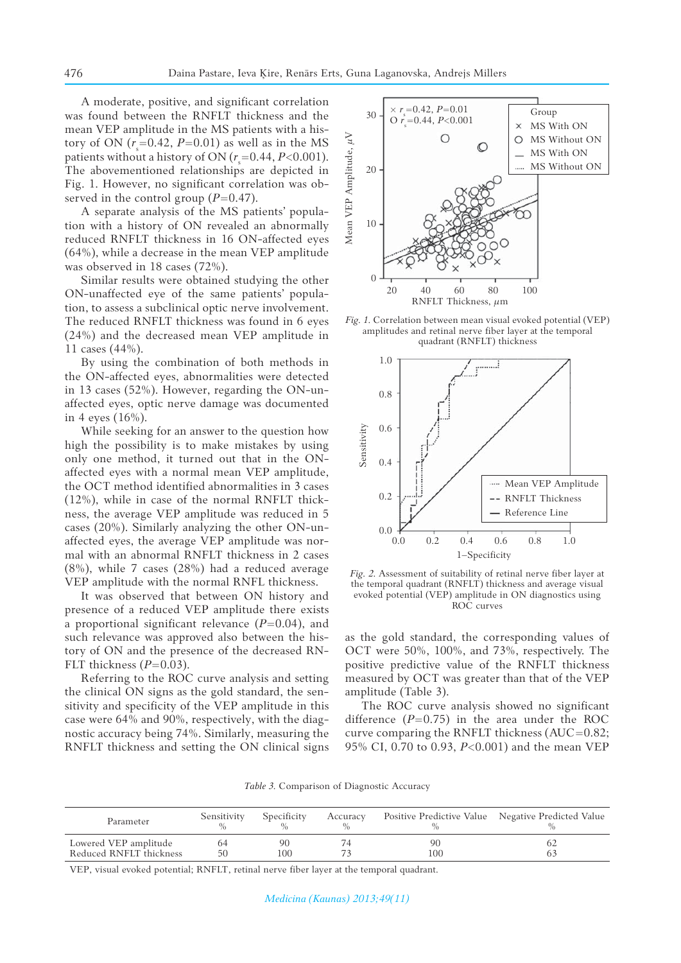A moderate, positive, and significant correlation was found between the RNFLT thickness and the mean VEP amplitude in the MS patients with a history of ON  $(r_s=0.42, P=0.01)$  as well as in the MS patients without a history of ON ( $r<sub>s</sub>=0.44$ ,  $P<0.001$ ). The abovementioned relationships are depicted in Fig. 1. However, no significant correlation was observed in the control group  $(P=0.47)$ .

A separate analysis of the MS patients' population with a history of ON revealed an abnormally reduced RNFLT thickness in 16 ON-affected eyes (64%), while a decrease in the mean VEP amplitude was observed in 18 cases (72%).

Similar results were obtained studying the other ON-unaffected eye of the same patients' population, to assess a subclinical optic nerve involvement. The reduced RNFLT thickness was found in 6 eyes (24%) and the decreased mean VEP amplitude in 11 cases (44%).

By using the combination of both methods in the ON-affected eyes, abnormalities were detected in 13 cases (52%). However, regarding the ON-unaffected eyes, optic nerve damage was documented in 4 eyes (16%).

While seeking for an answer to the question how high the possibility is to make mistakes by using only one method, it turned out that in the ONaffected eyes with a normal mean VEP amplitude, the OCT method identified abnormalities in  $3$  cases (12%), while in case of the normal RNFLT thickness, the average VEP amplitude was reduced in 5 cases (20%). Similarly analyzing the other ON-unaffected eyes, the average VEP amplitude was normal with an abnormal RNFLT thickness in 2 cases (8%), while 7 cases (28%) had a reduced average VEP amplitude with the normal RNFL thickness.

It was observed that between ON history and presence of a reduced VEP amplitude there exists a proportional significant relevance  $(P=0.04)$ , and such relevance was approved also between the history of ON and the presence of the decreased RN-FLT thickness  $(P=0.03)$ .

Referring to the ROC curve analysis and setting the clinical ON signs as the gold standard, the sensitivity and specificity of the VEP amplitude in this case were 64% and 90%, respectively, with the diagnostic accuracy being 74%. Similarly, measuring the RNFLT thickness and setting the ON clinical signs



*Fig. 1.* Correlation between mean visual evoked potential (VEP) amplitudes and retinal nerve fiber layer at the temporal quadrant (RNFLT) thickness



*Fig. 2.* Assessment of suitability of retinal nerve fiber layer at the temporal quadrant (RNFLT) thickness and average visual evoked potential (VEP) amplitude in ON diagnostics using ROC curves

as the gold standard, the corresponding values of OCT were 50%, 100%, and 73%, respectively. The positive predictive value of the RNFLT thickness measured by OCT was greater than that of the VEP amplitude (Table 3).

The ROC curve analysis showed no significant difference  $(P=0.75)$  in the area under the ROC curve comparing the RNFLT thickness (AUC=0.82; 95% CI, 0.70 to 0.93, *P*<0.001) and the mean VEP

|  | Table 3. Comparison of Diagnostic Accuracy |  |
|--|--------------------------------------------|--|
|  |                                            |  |

| Parameter                                        | Sensitivity | Specificity | Accuracy<br>$\frac{0}{0}$ |     | Positive Predictive Value Negative Predicted Value |
|--------------------------------------------------|-------------|-------------|---------------------------|-----|----------------------------------------------------|
| Lowered VEP amplitude<br>Reduced RNFLT thickness | 64<br>50    | 90<br>100   | 71                        | 100 |                                                    |

VEP, visual evoked potential; RNFLT, retinal nerve fiber layer at the temporal quadrant.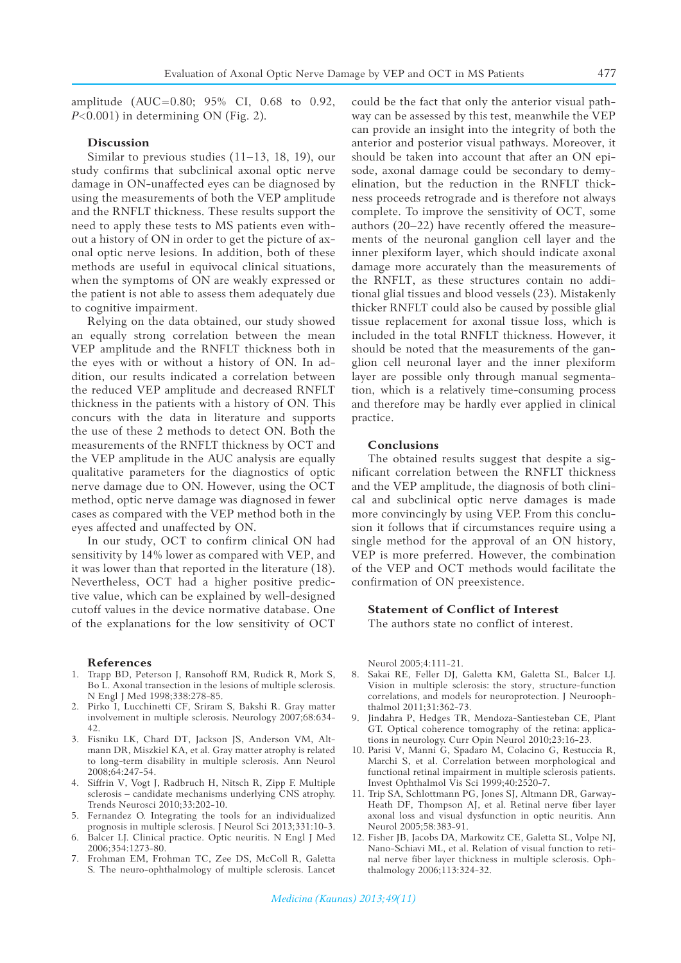amplitude (AUC=0.80; 95% CI, 0.68 to 0.92,  $P<0.001$ ) in determining ON (Fig. 2).

## **Discussion**

Similar to previous studies (11–13, 18, 19), our study confirms that subclinical axonal optic nerve damage in ON-unaffected eyes can be diagnosed by using the measurements of both the VEP amplitude and the RNFLT thickness. These results support the need to apply these tests to MS patients even without a history of ON in order to get the picture of axonal optic nerve lesions. In addition, both of these methods are useful in equivocal clinical situations, when the symptoms of ON are weakly expressed or the patient is not able to assess them adequately due to cognitive impairment.

Relying on the data obtained, our study showed an equally strong correlation between the mean VEP amplitude and the RNFLT thickness both in the eyes with or without a history of ON. In addition, our results indicated a correlation between the reduced VEP amplitude and decreased RNFLT thickness in the patients with a history of ON. This concurs with the data in literature and supports the use of these 2 methods to detect ON. Both the measurements of the RNFLT thickness by OCT and the VEP amplitude in the AUC analysis are equally qualitative parameters for the diagnostics of optic nerve damage due to ON. However, using the OCT method, optic nerve damage was diagnosed in fewer cases as compared with the VEP method both in the eyes affected and unaffected by ON.

In our study, OCT to confirm clinical ON had sensitivity by 14% lower as compared with VEP, and it was lower than that reported in the literature (18). Nevertheless, OCT had a higher positive predictive value, which can be explained by well-designed cutoff values in the device normative database. One of the explanations for the low sensitivity of OCT

#### **References**

- 1. Trapp BD, Peterson J, Ransohoff RM, Rudick R, Mork S, Bo L. Axonal transection in the lesions of multiple sclerosis. N Engl J Med 1998;338:278-85.
- 2. Pirko I, Lucchinetti CF, Sriram S, Bakshi R. Gray matter involvement in multiple sclerosis. Neurology 2007;68:634- 42.
- 3. Fisniku LK, Chard DT, Jackson JS, Anderson VM, Altmann DR, Miszkiel KA, et al. Gray matter atrophy is related to long-term disability in multiple sclerosis. Ann Neurol 2008;64:247-54.
- 4. Siffrin V, Vogt J, Radbruch H, Nitsch R, Zipp F. Multiple sclerosis – candidate mechanisms underlying CNS atrophy. Trends Neurosci 2010;33:202-10.
- 5. Fernandez O. Integrating the tools for an individualized prognosis in multiple sclerosis. J Neurol Sci 2013;331:10-3.
- 6. Balcer LJ. Clinical practice. Optic neuritis. N Engl J Med 2006;354:1273-80.
- 7. Frohman EM, Frohman TC, Zee DS, McColl R, Galetta S. The neuro-ophthalmology of multiple sclerosis. Lancet

could be the fact that only the anterior visual pathway can be assessed by this test, meanwhile the VEP can provide an insight into the integrity of both the anterior and posterior visual pathways. Moreover, it should be taken into account that after an ON episode, axonal damage could be secondary to demyelination, but the reduction in the RNFLT thickness proceeds retrograde and is therefore not always complete. To improve the sensitivity of OCT, some authors (20–22) have recently offered the measurements of the neuronal ganglion cell layer and the inner plexiform layer, which should indicate axonal damage more accurately than the measurements of the RNFLT, as these structures contain no additional glial tissues and blood vessels (23). Mistakenly thicker RNFLT could also be caused by possible glial tissue replacement for axonal tissue loss, which is included in the total RNFLT thickness. However, it should be noted that the measurements of the ganglion cell neuronal layer and the inner plexiform layer are possible only through manual segmentation, which is a relatively time-consuming process and therefore may be hardly ever applied in clinical practice.

### **Conclusions**

The obtained results suggest that despite a significant correlation between the RNFLT thickness and the VEP amplitude, the diagnosis of both clinical and subclinical optic nerve damages is made more convincingly by using VEP. From this conclusion it follows that if circumstances require using a single method for the approval of an ON history, VEP is more preferred. However, the combination of the VEP and OCT methods would facilitate the confirmation of ON preexistence.

## **Statement of Conflict of Interest**

The authors state no conflict of interest.

Neurol 2005;4:111-21.

- 8. Sakai RE, Feller DJ, Galetta KM, Galetta SL, Balcer LJ. Vision in multiple sclerosis: the story, structure-function correlations, and models for neuroprotection. J Neuroophthalmol 2011;31:362-73.
- 9. Jindahra P, Hedges TR, Mendoza-Santiesteban CE, Plant GT. Optical coherence tomography of the retina: applications in neurology. Curr Opin Neurol 2010;23:16-23.
- 10. Parisi V, Manni G, Spadaro M, Colacino G, Restuccia R, Marchi S, et al. Correlation between morphological and functional retinal impairment in multiple sclerosis patients. Invest Ophthalmol Vis Sci 1999;40:2520-7.
- 11. Trip SA, Schlottmann PG, Jones SJ, Altmann DR, Garway- Heath DF, Thompson AJ, et al. Retinal nerve fiber layer axonal loss and visual dysfunction in optic neuritis. Ann Neurol 2005;58:383-91.
- 12. Fisher JB, Jacobs DA, Markowitz CE, Galetta SL, Volpe NJ, Nano-Schiavi ML, et al. Relation of visual function to retinal nerve fiber layer thickness in multiple sclerosis. Ophthalmology 2006;113:324-32.